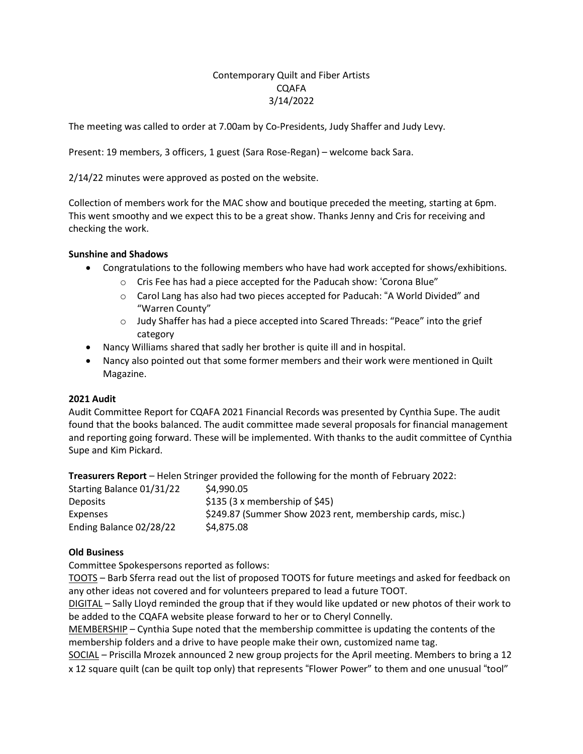# Contemporary Quilt and Fiber Artists CQAFA 3/14/2022

The meeting was called to order at 7.00am by Co-Presidents, Judy Shaffer and Judy Levy.

Present: 19 members, 3 officers, 1 guest (Sara Rose-Regan) – welcome back Sara.

2/14/22 minutes were approved as posted on the website.

Collection of members work for the MAC show and boutique preceded the meeting, starting at 6pm. This went smoothy and we expect this to be a great show. Thanks Jenny and Cris for receiving and checking the work.

# **Sunshine and Shadows**

- Congratulations to the following members who have had work accepted for shows/exhibitions.
	- o Cris Fee has had a piece accepted for the Paducah show: 'Corona Blue"
	- $\circ$  Carol Lang has also had two pieces accepted for Paducah: "A World Divided" and "Warren County"
	- o Judy Shaffer has had a piece accepted into Scared Threads: "Peace" into the grief category
- Nancy Williams shared that sadly her brother is quite ill and in hospital.
- Nancy also pointed out that some former members and their work were mentioned in Quilt Magazine.

# **2021 Audit**

Audit Committee Report for CQAFA 2021 Financial Records was presented by Cynthia Supe. The audit found that the books balanced. The audit committee made several proposals for financial management and reporting going forward. These will be implemented. With thanks to the audit committee of Cynthia Supe and Kim Pickard.

**Treasurers Report** – Helen Stringer provided the following for the month of February 2022:

| Starting Balance 01/31/22 | \$4,990.05                                                |
|---------------------------|-----------------------------------------------------------|
| <b>Deposits</b>           | $$135$ (3 x membership of \$45)                           |
| Expenses                  | \$249.87 (Summer Show 2023 rent, membership cards, misc.) |
| Ending Balance 02/28/22   | \$4,875.08                                                |

# **Old Business**

Committee Spokespersons reported as follows:

TOOTS – Barb Sferra read out the list of proposed TOOTS for future meetings and asked for feedback on any other ideas not covered and for volunteers prepared to lead a future TOOT.

DIGITAL – Sally Lloyd reminded the group that if they would like updated or new photos of their work to be added to the CQAFA website please forward to her or to Cheryl Connelly.

MEMBERSHIP – Cynthia Supe noted that the membership committee is updating the contents of the membership folders and a drive to have people make their own, customized name tag.

SOCIAL – Priscilla Mrozek announced 2 new group projects for the April meeting. Members to bring a 12 x 12 square quilt (can be quilt top only) that represents "Flower Power" to them and one unusual "tool"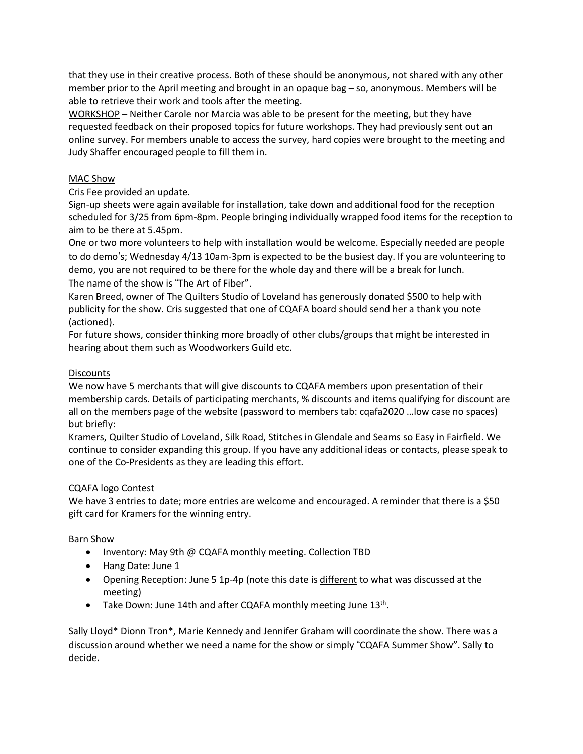that they use in their creative process. Both of these should be anonymous, not shared with any other member prior to the April meeting and brought in an opaque bag – so, anonymous. Members will be able to retrieve their work and tools after the meeting.

WORKSHOP – Neither Carole nor Marcia was able to be present for the meeting, but they have requested feedback on their proposed topics for future workshops. They had previously sent out an online survey. For members unable to access the survey, hard copies were brought to the meeting and Judy Shaffer encouraged people to fill them in.

# MAC Show

Cris Fee provided an update.

Sign-up sheets were again available for installation, take down and additional food for the reception scheduled for 3/25 from 6pm-8pm. People bringing individually wrapped food items for the reception to aim to be there at 5.45pm.

One or two more volunteers to help with installation would be welcome. Especially needed are people to do demo's; Wednesday 4/13 10am-3pm is expected to be the busiest day. If you are volunteering to demo, you are not required to be there for the whole day and there will be a break for lunch. The name of the show is "The Art of Fiber".

Karen Breed, owner of The Quilters Studio of Loveland has generously donated \$500 to help with publicity for the show. Cris suggested that one of CQAFA board should send her a thank you note (actioned).

For future shows, consider thinking more broadly of other clubs/groups that might be interested in hearing about them such as Woodworkers Guild etc.

# **Discounts**

We now have 5 merchants that will give discounts to CQAFA members upon presentation of their membership cards. Details of participating merchants, % discounts and items qualifying for discount are all on the members page of the website (password to members tab: cqafa2020 …low case no spaces) but briefly:

Kramers, Quilter Studio of Loveland, Silk Road, Stitches in Glendale and Seams so Easy in Fairfield. We continue to consider expanding this group. If you have any additional ideas or contacts, please speak to one of the Co-Presidents as they are leading this effort.

# CQAFA logo Contest

We have 3 entries to date; more entries are welcome and encouraged. A reminder that there is a \$50 gift card for Kramers for the winning entry.

# Barn Show

- Inventory: May 9th @ CQAFA monthly meeting. Collection TBD
- Hang Date: June 1
- Opening Reception: June 5 1p-4p (note this date is different to what was discussed at the meeting)
- Take Down: June 14th and after CQAFA monthly meeting June  $13<sup>th</sup>$ .

Sally Lloyd\* Dionn Tron\*, Marie Kennedy and Jennifer Graham will coordinate the show. There was a discussion around whether we need a name for the show or simply "CQAFA Summer Show". Sally to decide.